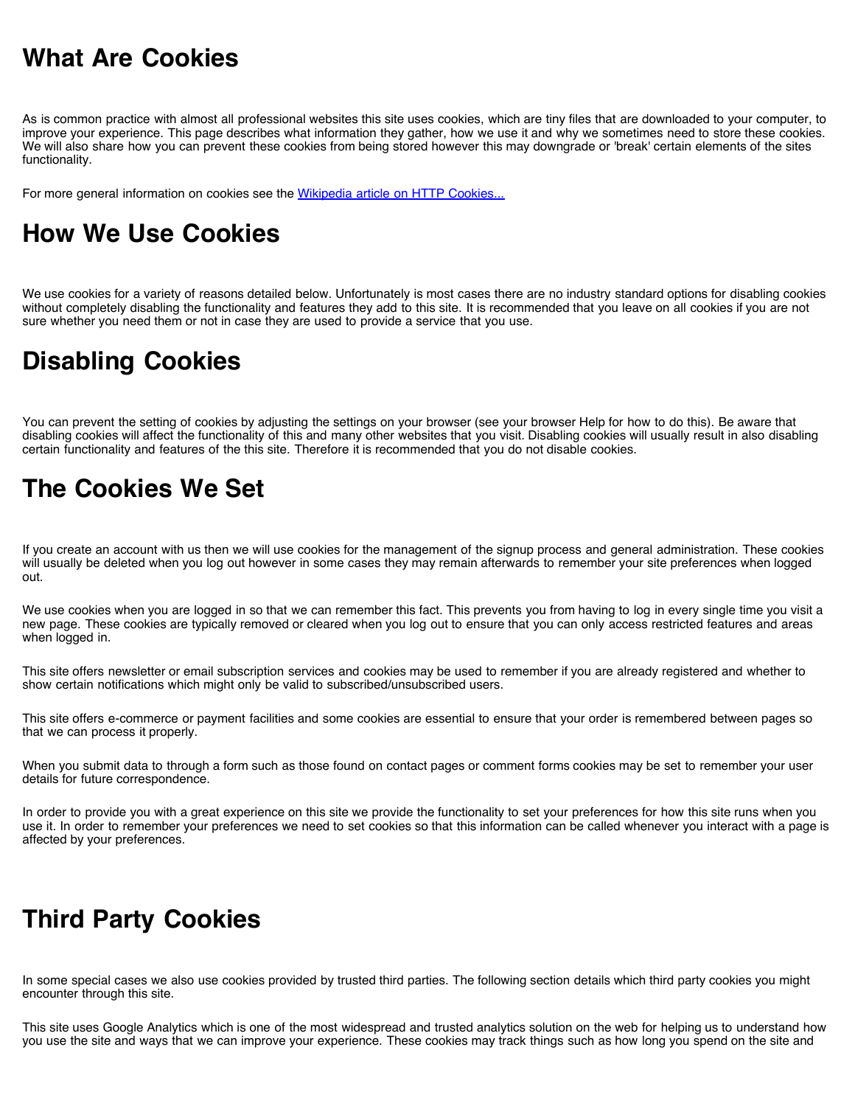### **What Are Cookies**

As is common practice with almost all professional websites this site uses cookies, which are tiny files that are downloaded to your computer, to improve your experience. This page describes what information they gather, how we use it and why we sometimes need to store these cookies. We will also share how you can prevent these cookies from being stored however this may downgrade or 'break' certain elements of the sites functionality.

For more general information on cookies see the [Wikipedia article on HTTP Cookies...](http://en.wikipedia.org/wiki/HTTP_cookie)

### **How We Use Cookies**

We use cookies for a variety of reasons detailed below. Unfortunately is most cases there are no industry standard options for disabling cookies without completely disabling the functionality and features they add to this site. It is recommended that you leave on all cookies if you are not sure whether you need them or not in case they are used to provide a service that you use.

# **Disabling Cookies**

You can prevent the setting of cookies by adjusting the settings on your browser (see your browser Help for how to do this). Be aware that disabling cookies will affect the functionality of this and many other websites that you visit. Disabling cookies will usually result in also disabling certain functionality and features of the this site. Therefore it is recommended that you do not disable cookies.

## **The Cookies We Set**

If you create an account with us then we will use cookies for the management of the signup process and general administration. These cookies will usually be deleted when you log out however in some cases they may remain afterwards to remember your site preferences when logged out.

We use cookies when you are logged in so that we can remember this fact. This prevents you from having to log in every single time you visit a new page. These cookies are typically removed or cleared when you log out to ensure that you can only access restricted features and areas when logged in.

This site offers newsletter or email subscription services and cookies may be used to remember if you are already registered and whether to show certain notifications which might only be valid to subscribed/unsubscribed users.

This site offers e-commerce or payment facilities and some cookies are essential to ensure that your order is remembered between pages so that we can process it properly.

When you submit data to through a form such as those found on contact pages or comment forms cookies may be set to remember your user details for future correspondence.

In order to provide you with a great experience on this site we provide the functionality to set your preferences for how this site runs when you use it. In order to remember your preferences we need to set cookies so that this information can be called whenever you interact with a page is affected by your preferences.

# **Third Party Cookies**

In some special cases we also use cookies provided by trusted third parties. The following section details which third party cookies you might encounter through this site.

This site uses Google Analytics which is one of the most widespread and trusted analytics solution on the web for helping us to understand how you use the site and ways that we can improve your experience. These cookies may track things such as how long you spend on the site and